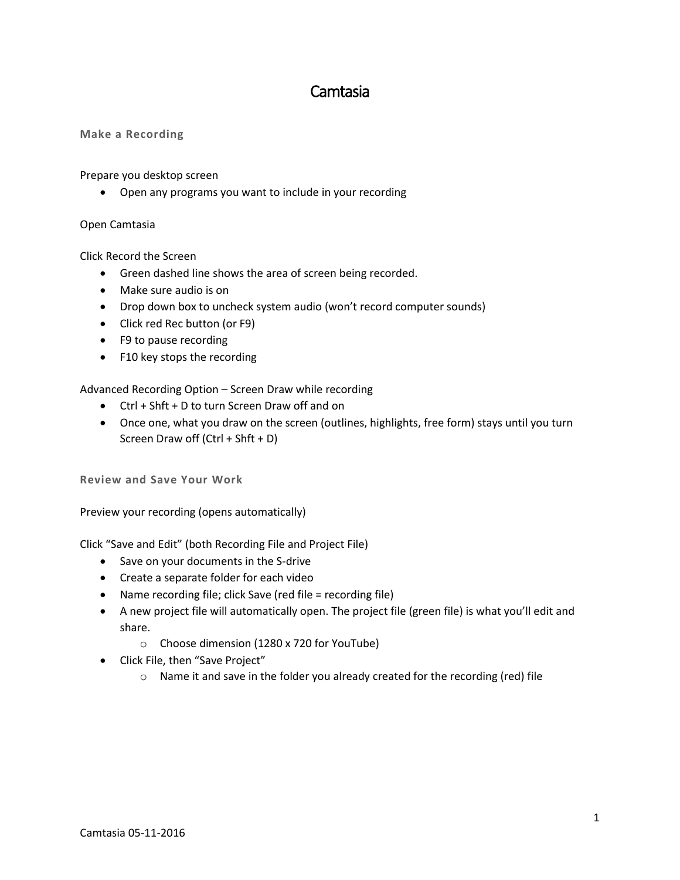# Camtasia

### **Make a Recording**

Prepare you desktop screen

Open any programs you want to include in your recording

#### Open Camtasia

Click Record the Screen

- Green dashed line shows the area of screen being recorded.
- Make sure audio is on
- Drop down box to uncheck system audio (won't record computer sounds)
- Click red Rec button (or F9)
- F9 to pause recording
- F10 key stops the recording

Advanced Recording Option – Screen Draw while recording

- Ctrl + Shft + D to turn Screen Draw off and on
- Once one, what you draw on the screen (outlines, highlights, free form) stays until you turn Screen Draw off (Ctrl + Shft + D)

**Review and Save Your Work**

Preview your recording (opens automatically)

Click "Save and Edit" (both Recording File and Project File)

- Save on your documents in the S-drive
- Create a separate folder for each video
- Name recording file; click Save (red file = recording file)
- A new project file will automatically open. The project file (green file) is what you'll edit and share.
	- o Choose dimension (1280 x 720 for YouTube)
- Click File, then "Save Project"
	- o Name it and save in the folder you already created for the recording (red) file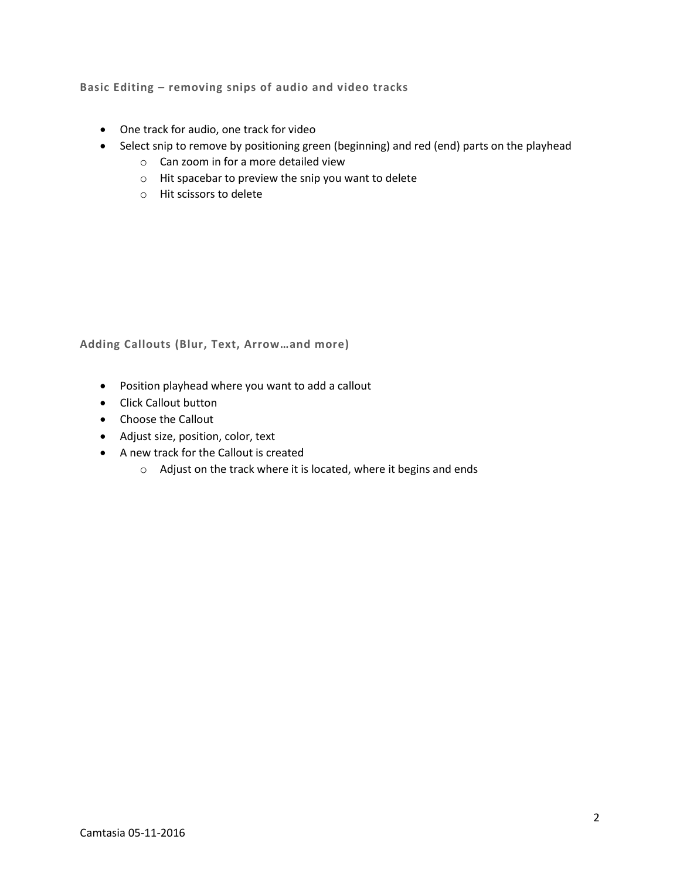**Basic Editing – removing snips of audio and video tracks**

- One track for audio, one track for video
- Select snip to remove by positioning green (beginning) and red (end) parts on the playhead
	- o Can zoom in for a more detailed view
	- o Hit spacebar to preview the snip you want to delete
	- o Hit scissors to delete

**Adding Callouts (Blur, Text, Arrow…and more)**

- Position playhead where you want to add a callout
- Click Callout button
- Choose the Callout
- Adjust size, position, color, text
- A new track for the Callout is created
	- o Adjust on the track where it is located, where it begins and ends